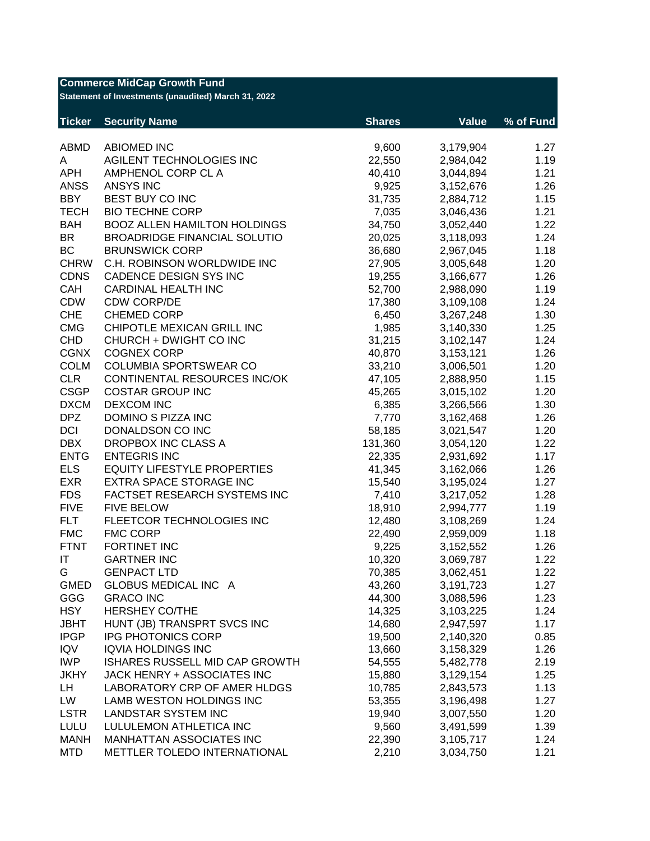| <b>Commerce MidCap Growth Fund</b><br>Statement of Investments (unaudited) March 31, 2022 |                                                   |               |                        |           |  |
|-------------------------------------------------------------------------------------------|---------------------------------------------------|---------------|------------------------|-----------|--|
| <b>Ticker</b>                                                                             | <b>Security Name</b>                              | <b>Shares</b> | <b>Value</b>           | % of Fund |  |
| ABMD                                                                                      | <b>ABIOMED INC</b>                                | 9,600         | 3,179,904              | 1.27      |  |
| A                                                                                         | AGILENT TECHNOLOGIES INC                          | 22,550        | 2,984,042              | 1.19      |  |
| <b>APH</b>                                                                                | AMPHENOL CORP CL A                                | 40,410        | 3,044,894              | 1.21      |  |
| <b>ANSS</b>                                                                               | <b>ANSYS INC</b>                                  | 9,925         | 3,152,676              | 1.26      |  |
| <b>BBY</b>                                                                                | BEST BUY CO INC                                   | 31,735        | 2,884,712              | 1.15      |  |
| <b>TECH</b>                                                                               | <b>BIO TECHNE CORP</b>                            | 7,035         | 3,046,436              | 1.21      |  |
| <b>BAH</b>                                                                                | <b>BOOZ ALLEN HAMILTON HOLDINGS</b>               | 34,750        | 3,052,440              | 1.22      |  |
| <b>BR</b>                                                                                 | <b>BROADRIDGE FINANCIAL SOLUTIO</b>               | 20,025        | 3,118,093              | 1.24      |  |
| <b>BC</b>                                                                                 | <b>BRUNSWICK CORP</b>                             | 36,680        | 2,967,045              | 1.18      |  |
| <b>CHRW</b>                                                                               | C.H. ROBINSON WORLDWIDE INC                       | 27,905        | 3,005,648              | 1.20      |  |
| <b>CDNS</b>                                                                               | CADENCE DESIGN SYS INC                            | 19,255        | 3,166,677              | 1.26      |  |
| CAH                                                                                       | <b>CARDINAL HEALTH INC</b>                        | 52,700        | 2,988,090              | 1.19      |  |
| <b>CDW</b>                                                                                | <b>CDW CORP/DE</b>                                | 17,380        | 3,109,108              | 1.24      |  |
| <b>CHE</b>                                                                                | <b>CHEMED CORP</b>                                | 6,450         | 3,267,248              | 1.30      |  |
| <b>CMG</b>                                                                                | CHIPOTLE MEXICAN GRILL INC                        | 1,985         | 3,140,330              | 1.25      |  |
| <b>CHD</b>                                                                                | CHURCH + DWIGHT CO INC                            | 31,215        | 3,102,147              | 1.24      |  |
| <b>CGNX</b>                                                                               | <b>COGNEX CORP</b>                                | 40,870        | 3,153,121              | 1.26      |  |
| <b>COLM</b>                                                                               | COLUMBIA SPORTSWEAR CO                            | 33,210        | 3,006,501              | 1.20      |  |
| <b>CLR</b>                                                                                | CONTINENTAL RESOURCES INC/OK                      | 47,105        | 2,888,950              | 1.15      |  |
| <b>CSGP</b>                                                                               | <b>COSTAR GROUP INC</b>                           | 45,265        | 3,015,102              | 1.20      |  |
| <b>DXCM</b>                                                                               | <b>DEXCOM INC</b>                                 | 6,385         | 3,266,566              | 1.30      |  |
| <b>DPZ</b>                                                                                | DOMINO S PIZZA INC                                | 7,770         | 3,162,468              | 1.26      |  |
| <b>DCI</b>                                                                                | DONALDSON CO INC                                  | 58,185        | 3,021,547              | 1.20      |  |
| <b>DBX</b>                                                                                | DROPBOX INC CLASS A                               | 131,360       | 3,054,120              | 1.22      |  |
| <b>ENTG</b>                                                                               | <b>ENTEGRIS INC</b>                               | 22,335        | 2,931,692              | 1.17      |  |
| <b>ELS</b>                                                                                | <b>EQUITY LIFESTYLE PROPERTIES</b>                | 41,345        | 3,162,066              | 1.26      |  |
| <b>EXR</b>                                                                                | EXTRA SPACE STORAGE INC                           | 15,540        | 3,195,024              | 1.27      |  |
| <b>FDS</b>                                                                                | FACTSET RESEARCH SYSTEMS INC                      | 7,410         | 3,217,052              | 1.28      |  |
| <b>FIVE</b>                                                                               | <b>FIVE BELOW</b>                                 | 18,910        | 2,994,777              | 1.19      |  |
| <b>FLT</b>                                                                                | FLEETCOR TECHNOLOGIES INC                         | 12,480        | 3,108,269              | 1.24      |  |
| <b>FMC</b>                                                                                | <b>FMC CORP</b>                                   | 22,490        | 2,959,009              | 1.18      |  |
| <b>FTNT</b>                                                                               | FORTINET INC                                      | 9,225         | 3,152,552              | 1.26      |  |
| IT                                                                                        | <b>GARTNER INC</b>                                | 10,320        | 3,069,787              | 1.22      |  |
| G                                                                                         | <b>GENPACT LTD</b>                                | 70,385        | 3,062,451              | 1.22      |  |
| <b>GMED</b>                                                                               | GLOBUS MEDICAL INC A                              | 43,260        | 3,191,723              | 1.27      |  |
| GGG                                                                                       | <b>GRACO INC</b>                                  | 44,300        |                        | 1.23      |  |
| <b>HSY</b>                                                                                | <b>HERSHEY CO/THE</b>                             | 14,325        | 3,088,596<br>3,103,225 | 1.24      |  |
| <b>JBHT</b>                                                                               |                                                   |               |                        | 1.17      |  |
| <b>IPGP</b>                                                                               | HUNT (JB) TRANSPRT SVCS INC<br>IPG PHOTONICS CORP | 14,680        | 2,947,597              |           |  |
|                                                                                           |                                                   | 19,500        | 2,140,320              | 0.85      |  |
| <b>IQV</b>                                                                                | <b>IQVIA HOLDINGS INC</b>                         | 13,660        | 3,158,329              | 1.26      |  |
| <b>IWP</b>                                                                                | ISHARES RUSSELL MID CAP GROWTH                    | 54,555        | 5,482,778              | 2.19      |  |
| <b>JKHY</b>                                                                               | JACK HENRY + ASSOCIATES INC                       | 15,880        | 3,129,154              | 1.25      |  |
| LH                                                                                        | LABORATORY CRP OF AMER HLDGS                      | 10,785        | 2,843,573              | 1.13      |  |
| LW                                                                                        | LAMB WESTON HOLDINGS INC                          | 53,355        | 3,196,498              | 1.27      |  |
| <b>LSTR</b>                                                                               | <b>LANDSTAR SYSTEM INC</b>                        | 19,940        | 3,007,550              | 1.20      |  |
| <b>LULU</b>                                                                               | LULULEMON ATHLETICA INC                           | 9,560         | 3,491,599              | 1.39      |  |
| <b>MANH</b>                                                                               | MANHATTAN ASSOCIATES INC                          | 22,390        | 3,105,717              | 1.24      |  |
| <b>MTD</b>                                                                                | METTLER TOLEDO INTERNATIONAL                      | 2,210         | 3,034,750              | 1.21      |  |